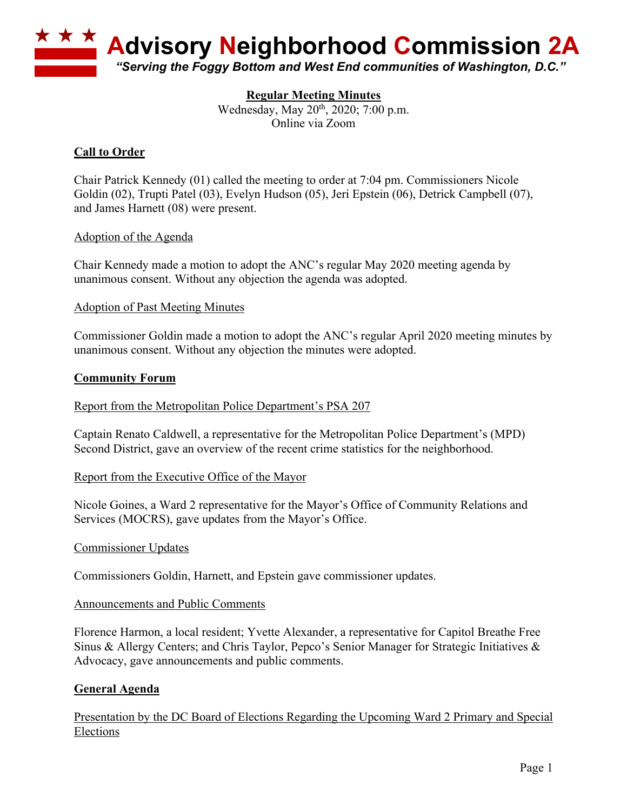

## **Regular Meeting Minutes**

Wednesday, May 20<sup>th</sup>, 2020; 7:00 p.m. Online via Zoom

# **Call to Order**

Chair Patrick Kennedy (01) called the meeting to order at 7:04 pm. Commissioners Nicole Goldin (02), Trupti Patel (03), Evelyn Hudson (05), Jeri Epstein (06), Detrick Campbell (07), and James Harnett (08) were present.

### Adoption of the Agenda

Chair Kennedy made a motion to adopt the ANC's regular May 2020 meeting agenda by unanimous consent. Without any objection the agenda was adopted.

### Adoption of Past Meeting Minutes

Commissioner Goldin made a motion to adopt the ANC's regular April 2020 meeting minutes by unanimous consent. Without any objection the minutes were adopted.

### **Community Forum**

#### Report from the Metropolitan Police Department's PSA 207

Captain Renato Caldwell, a representative for the Metropolitan Police Department's (MPD) Second District, gave an overview of the recent crime statistics for the neighborhood.

#### Report from the Executive Office of the Mayor

Nicole Goines, a Ward 2 representative for the Mayor's Office of Community Relations and Services (MOCRS), gave updates from the Mayor's Office.

#### Commissioner Updates

Commissioners Goldin, Harnett, and Epstein gave commissioner updates.

#### Announcements and Public Comments

Florence Harmon, a local resident; Yvette Alexander, a representative for Capitol Breathe Free Sinus & Allergy Centers; and Chris Taylor, Pepco's Senior Manager for Strategic Initiatives & Advocacy, gave announcements and public comments.

### **General Agenda**

Presentation by the DC Board of Elections Regarding the Upcoming Ward 2 Primary and Special Elections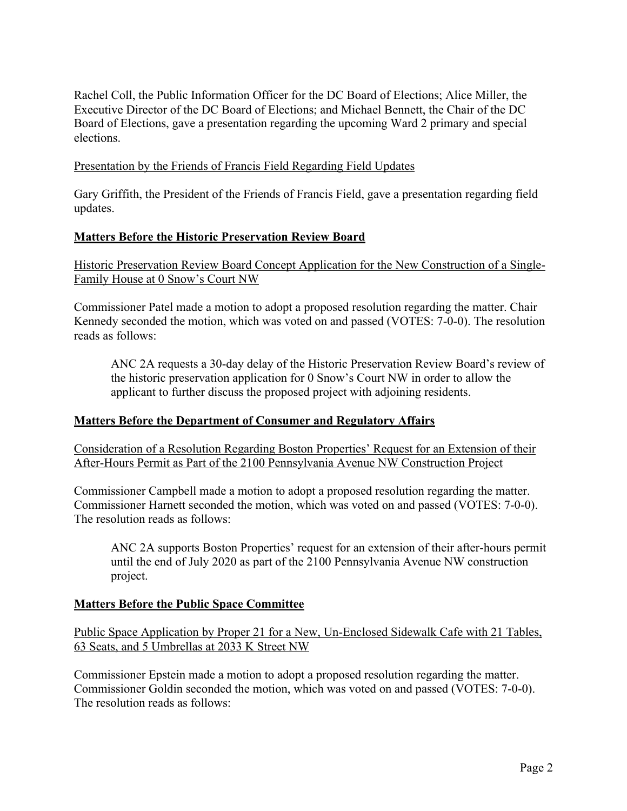Rachel Coll, the Public Information Officer for the DC Board of Elections; Alice Miller, the Executive Director of the DC Board of Elections; and Michael Bennett, the Chair of the DC Board of Elections, gave a presentation regarding the upcoming Ward 2 primary and special elections.

## Presentation by the Friends of Francis Field Regarding Field Updates

Gary Griffith, the President of the Friends of Francis Field, gave a presentation regarding field updates.

## **Matters Before the Historic Preservation Review Board**

Historic Preservation Review Board Concept Application for the New Construction of a Single-Family House at 0 Snow's Court NW

Commissioner Patel made a motion to adopt a proposed resolution regarding the matter. Chair Kennedy seconded the motion, which was voted on and passed (VOTES: 7-0-0). The resolution reads as follows:

ANC 2A requests a 30-day delay of the Historic Preservation Review Board's review of the historic preservation application for 0 Snow's Court NW in order to allow the applicant to further discuss the proposed project with adjoining residents.

### **Matters Before the Department of Consumer and Regulatory Affairs**

Consideration of a Resolution Regarding Boston Properties' Request for an Extension of their After-Hours Permit as Part of the 2100 Pennsylvania Avenue NW Construction Project

Commissioner Campbell made a motion to adopt a proposed resolution regarding the matter. Commissioner Harnett seconded the motion, which was voted on and passed (VOTES: 7-0-0). The resolution reads as follows:

ANC 2A supports Boston Properties' request for an extension of their after-hours permit until the end of July 2020 as part of the 2100 Pennsylvania Avenue NW construction project.

### **Matters Before the Public Space Committee**

Public Space Application by Proper 21 for a New, Un-Enclosed Sidewalk Cafe with 21 Tables, 63 Seats, and 5 Umbrellas at 2033 K Street NW

Commissioner Epstein made a motion to adopt a proposed resolution regarding the matter. Commissioner Goldin seconded the motion, which was voted on and passed (VOTES: 7-0-0). The resolution reads as follows: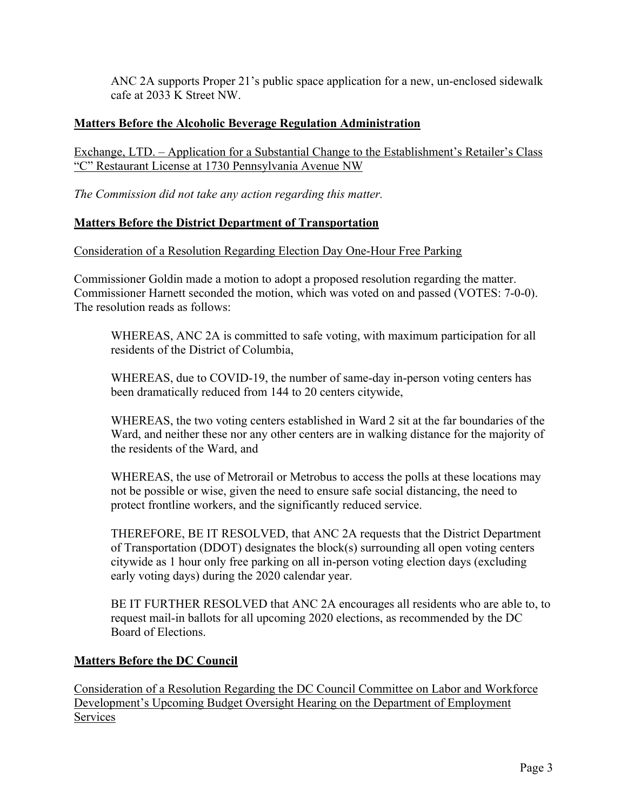ANC 2A supports Proper 21's public space application for a new, un-enclosed sidewalk cafe at 2033 K Street NW.

# **Matters Before the Alcoholic Beverage Regulation Administration**

Exchange, LTD. – Application for a Substantial Change to the Establishment's Retailer's Class "C" Restaurant License at 1730 Pennsylvania Avenue NW

*The Commission did not take any action regarding this matter.*

# **Matters Before the District Department of Transportation**

Consideration of a Resolution Regarding Election Day One-Hour Free Parking

Commissioner Goldin made a motion to adopt a proposed resolution regarding the matter. Commissioner Harnett seconded the motion, which was voted on and passed (VOTES: 7-0-0). The resolution reads as follows:

WHEREAS, ANC 2A is committed to safe voting, with maximum participation for all residents of the District of Columbia,

WHEREAS, due to COVID-19, the number of same-day in-person voting centers has been dramatically reduced from 144 to 20 centers citywide,

WHEREAS, the two voting centers established in Ward 2 sit at the far boundaries of the Ward, and neither these nor any other centers are in walking distance for the majority of the residents of the Ward, and

WHEREAS, the use of Metrorail or Metrobus to access the polls at these locations may not be possible or wise, given the need to ensure safe social distancing, the need to protect frontline workers, and the significantly reduced service.

THEREFORE, BE IT RESOLVED, that ANC 2A requests that the District Department of Transportation (DDOT) designates the block(s) surrounding all open voting centers citywide as 1 hour only free parking on all in-person voting election days (excluding early voting days) during the 2020 calendar year.

BE IT FURTHER RESOLVED that ANC 2A encourages all residents who are able to, to request mail-in ballots for all upcoming 2020 elections, as recommended by the DC Board of Elections.

# **Matters Before the DC Council**

Consideration of a Resolution Regarding the DC Council Committee on Labor and Workforce Development's Upcoming Budget Oversight Hearing on the Department of Employment Services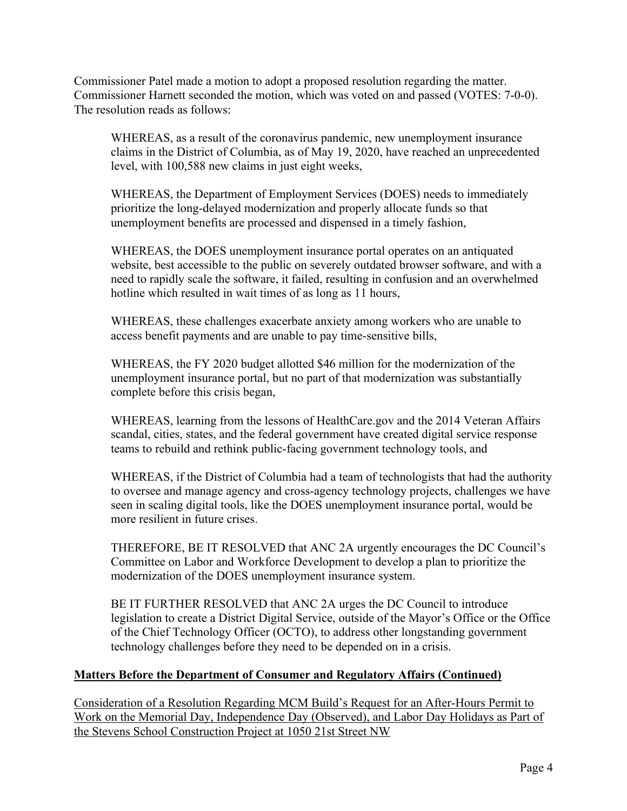Commissioner Patel made a motion to adopt a proposed resolution regarding the matter. Commissioner Harnett seconded the motion, which was voted on and passed (VOTES: 7-0-0). The resolution reads as follows:

WHEREAS, as a result of the coronavirus pandemic, new unemployment insurance claims in the District of Columbia, as of May 19, 2020, have reached an unprecedented level, with 100,588 new claims in just eight weeks,

WHEREAS, the Department of Employment Services (DOES) needs to immediately prioritize the long-delayed modernization and properly allocate funds so that unemployment benefits are processed and dispensed in a timely fashion,

WHEREAS, the DOES unemployment insurance portal operates on an antiquated website, best accessible to the public on severely outdated browser software, and with a need to rapidly scale the software, it failed, resulting in confusion and an overwhelmed hotline which resulted in wait times of as long as 11 hours,

WHEREAS, these challenges exacerbate anxiety among workers who are unable to access benefit payments and are unable to pay time-sensitive bills,

WHEREAS, the FY 2020 budget allotted \$46 million for the modernization of the unemployment insurance portal, but no part of that modernization was substantially complete before this crisis began,

WHEREAS, learning from the lessons of HealthCare.gov and the 2014 Veteran Affairs scandal, cities, states, and the federal government have created digital service response teams to rebuild and rethink public-facing government technology tools, and

WHEREAS, if the District of Columbia had a team of technologists that had the authority to oversee and manage agency and cross-agency technology projects, challenges we have seen in scaling digital tools, like the DOES unemployment insurance portal, would be more resilient in future crises.

THEREFORE, BE IT RESOLVED that ANC 2A urgently encourages the DC Council's Committee on Labor and Workforce Development to develop a plan to prioritize the modernization of the DOES unemployment insurance system.

BE IT FURTHER RESOLVED that ANC 2A urges the DC Council to introduce legislation to create a District Digital Service, outside of the Mayor's Office or the Office of the Chief Technology Officer (OCTO), to address other longstanding government technology challenges before they need to be depended on in a crisis.

# **Matters Before the Department of Consumer and Regulatory Affairs (Continued)**

Consideration of a Resolution Regarding MCM Build's Request for an After-Hours Permit to Work on the Memorial Day, Independence Day (Observed), and Labor Day Holidays as Part of the Stevens School Construction Project at 1050 21st Street NW